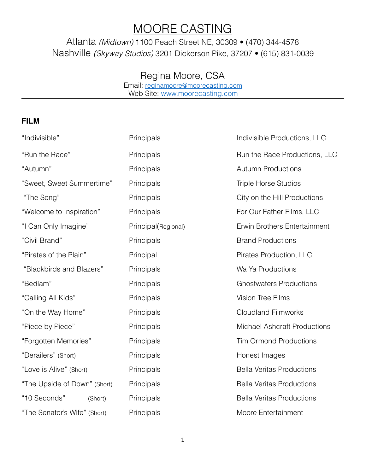## MOORE CASTING

Atlanta *(Midtown)* 1100 Peach Street NE, 30309 • (470) 344-4578 Nashville *(Skyway Studios)* 3201 Dickerson Pike, 37207 • (615) 831-0039

## Regina Moore, CSA

Email: [reginamoore@moorecasting.com](mailto:reginamoore@moorecasting.com) Web Site: [www.moorecasting.com](http://www.moorecasting.com)

## **FILM**

| "Indivisible"                | Principals          | Indivisible Productions, LLC        |
|------------------------------|---------------------|-------------------------------------|
| "Run the Race"               | Principals          | Run the Race Productions, LLC       |
| "Autumn"                     | Principals          | <b>Autumn Productions</b>           |
| "Sweet, Sweet Summertime"    | Principals          | <b>Triple Horse Studios</b>         |
| "The Song"                   | Principals          | City on the Hill Productions        |
| "Welcome to Inspiration"     | Principals          | For Our Father Films, LLC           |
| "I Can Only Imagine"         | Principal(Regional) | Erwin Brothers Entertainment        |
| "Civil Brand"                | Principals          | <b>Brand Productions</b>            |
| "Pirates of the Plain"       | Principal           | Pirates Production, LLC             |
| "Blackbirds and Blazers"     | Principals          | Wa Ya Productions                   |
| "Bedlam"                     | Principals          | <b>Ghostwaters Productions</b>      |
| "Calling All Kids"           | Principals          | <b>Vision Tree Films</b>            |
| "On the Way Home"            | Principals          | <b>Cloudland Filmworks</b>          |
| "Piece by Piece"             | Principals          | <b>Michael Ashcraft Productions</b> |
| "Forgotten Memories"         | Principals          | <b>Tim Ormond Productions</b>       |
| "Derailers" (Short)          | Principals          | Honest Images                       |
| "Love is Alive" (Short)      | Principals          | <b>Bella Veritas Productions</b>    |
| "The Upside of Down" (Short) | Principals          | <b>Bella Veritas Productions</b>    |
| "10 Seconds"<br>(Short)      | Principals          | <b>Bella Veritas Productions</b>    |
| "The Senator's Wife" (Short) | Principals          | Moore Entertainment                 |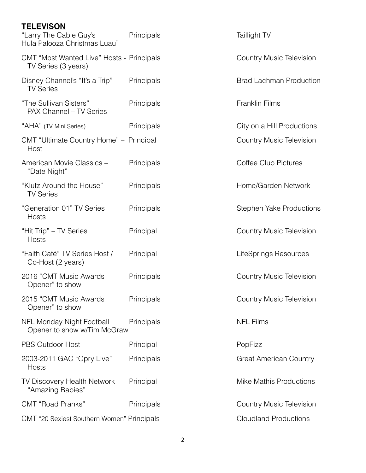| <b>TELEVISON</b><br>"Larry The Cable Guy's                                       | Principals |
|----------------------------------------------------------------------------------|------------|
| Hula Palooza Christmas Luau"<br><b>CMT "Most Wanted Live" Hosts - Principals</b> |            |
| TV Series (3 years)<br>Disney Channel's "It's a Trip"<br><b>TV Series</b>        | Principals |
| "The Sullivan Sisters"<br>PAX Channel - TV Series                                | Principals |
| "AHA" (TV Mini Series)                                                           | Principals |
| CMT "Ultimate Country Home" - Principal<br>Host                                  |            |
| American Movie Classics -<br>"Date Night"                                        | Principals |
| "Klutz Around the House"<br><b>TV Series</b>                                     | Principals |
| "Generation 01" TV Series<br>Hosts                                               | Principals |
| "Hit Trip" - TV Series<br>Hosts                                                  | Principal  |
| "Faith Café" TV Series Host /<br>Co-Host (2 years)                               | Principal  |
| 2016 "CMT Music Awards<br>Opener" to show                                        | Principals |
| 2015 "CMT Music Awards<br>Opener" to show                                        | Principals |
| NFL Monday Night Football<br>Opener to show w/Tim McGraw                         | Principals |
| <b>PBS Outdoor Host</b>                                                          | Principal  |
| 2003-2011 GAC "Opry Live"<br>Hosts                                               | Principals |
| TV Discovery Health Network<br>"Amazing Babies"                                  | Principal  |
| <b>CMT</b> "Road Pranks"                                                         | Principals |
| CMT "20 Sexiest Southern Women" Principals                                       |            |

Taillight TV

Country Music Television

Brad Lachman Production

Franklin Films

City on a Hill Productions

Country Music Television

Coffee Club Pictures

Home/Garden Network

Stephen Yake Productions

Country Music Television

LifeSprings Resources

Country Music Television

Country Music Television

NFL Films

PopFizz

Great American Country

Mike Mathis Productions

Country Music Television **Cloudland Productions**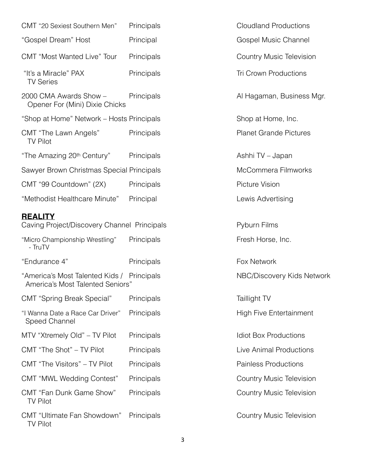| CMT "20 Sexiest Southern Men"                                                  | Principals |
|--------------------------------------------------------------------------------|------------|
| "Gospel Dream" Host                                                            | Principal  |
| <b>CMT</b> "Most Wanted Live" Tour                                             | Principals |
| "It's a Miracle" PAX<br><b>TV Series</b>                                       | Principals |
| 2000 CMA Awards Show -<br>Opener For (Mini) Dixie Chicks                       | Principals |
| "Shop at Home" Network - Hosts Principals                                      |            |
| CMT "The Lawn Angels"<br><b>TV Pilot</b>                                       | Principals |
| "The Amazing 20 <sup>th</sup> Century"                                         | Principals |
| Sawyer Brown Christmas Special Principals                                      |            |
| CMT "99 Countdown" (2X)                                                        | Principals |
| "Methodist Healthcare Minute"                                                  | Principal  |
| <b>REALITY</b><br>Caving Project/Discovery Channel Principals                  |            |
| "Micro Championship Wrestling"<br>- TruTV                                      | Principals |
| "Endurance 4"                                                                  | Principals |
| "America's Most Talented Kids / Principals<br>America's Most Talented Seniors" |            |
| <b>CMT "Spring Break Special"</b>                                              | Principals |
| "I Wanna Date a Race Car Driver"<br>Speed Channel                              | Principals |
| MTV "Xtremely Old" - TV Pilot                                                  | Principals |
| CMT "The Shot" - TV Pilot                                                      | Principals |
| CMT "The Visitors" - TV Pilot                                                  | Principals |
| CMT "MWL Wedding Contest"                                                      | Principals |
| <b>CMT "Fan Dunk Game Show"</b><br><b>TV Pilot</b>                             | Principals |
| CMT "Ultimate Fan Showdown" Principals<br><b>TV Pilot</b>                      |            |

Cloudland Productions Gospel Music Channel Country Music Television Tri Crown Productions Al Hagaman, Business Mgr. Shop at Home, Inc. Planet Grande Pictures Ashhi TV – Japan McCommera Filmworks Picture Vision Lewis Advertising S Pyburn Films Fresh Horse, Inc. Fox Network NBC/Discovery Kids Network Taillight TV High Five Entertainment Idiot Box Productions Live Animal Productions Painless Productions Country Music Television Country Music Television Country Music Television